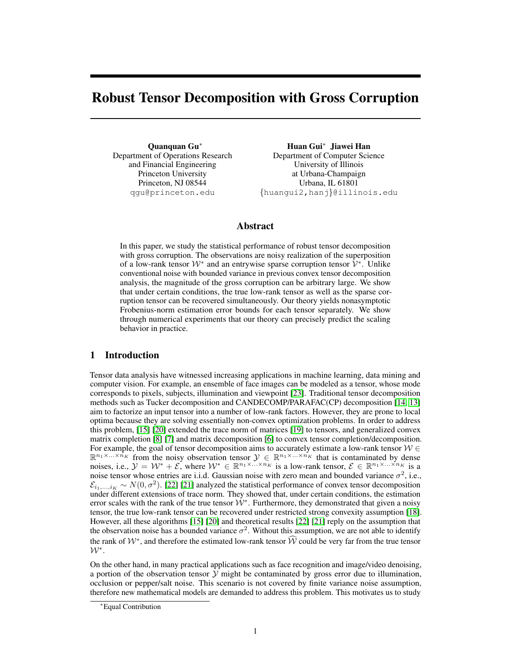# Robust Tensor Decomposition with Gross Corruption

Quanquan Gu<sup>∗</sup> Department of Operations Research and Financial Engineering Princeton University Princeton, NJ 08544 qgu@princeton.edu

Huan Gui<sup>∗</sup> Jiawei Han Department of Computer Science University of Illinois at Urbana-Champaign Urbana, IL 61801 {huangui2,hanj}@illinois.edu

# Abstract

In this paper, we study the statistical performance of robust tensor decomposition with gross corruption. The observations are noisy realization of the superposition of a low-rank tensor  $W^*$  and an entrywise sparse corruption tensor  $\hat{V}^*$ . Unlike conventional noise with bounded variance in previous convex tensor decomposition analysis, the magnitude of the gross corruption can be arbitrary large. We show that under certain conditions, the true low-rank tensor as well as the sparse corruption tensor can be recovered simultaneously. Our theory yields nonasymptotic Frobenius-norm estimation error bounds for each tensor separately. We show through numerical experiments that our theory can precisely predict the scaling behavior in practice.

# 1 Introduction

Tensor data analysis have witnessed increasing applications in machine learning, data mining and computer vision. For example, an ensemble of face images can be modeled as a tensor, whose mode corresponds to pixels, subjects, illumination and viewpoint [23]. Traditional tensor decomposition methods such as Tucker decomposition and CANDECOMP/PARAFAC(CP) decomposition [14, 13] aim to factorize an input tensor into a number of low-rank factors. However, they are prone to local optima because they are solving essentially non-convex optimization problems. In order to address this problem, [15] [20] extended the trace norm of matrices [19] to tensors, and generalized convex matrix completion [8] [7] and matrix decomposition [6] to convex tensor completion/decomposition. For example, the goal of tensor decomposition aims to accurately estimate a low-rank tensor  $W \in$  $\mathbb{R}^{n_1 \times \ldots \times n_K}$  from the noisy observation tensor  $\mathcal{Y} \in \mathbb{R}^{n_1 \times \ldots \times n_K}$  that is contaminated by dense noises, i.e.,  $\mathcal{Y} = \mathcal{W}^* + \mathcal{E}$ , where  $\mathcal{W}^* \in \mathbb{R}^{n_1 \times \ldots \times n_K}$  is a low-rank tensor,  $\mathcal{E} \in \mathbb{R}^{n_1 \times \ldots \times n_K}$  is a noise tensor whose entries are i.i.d. Gaussian noise with zero mean and bounded variance  $\sigma^2$ , i.e.,  $\mathcal{E}_{i_1,...,i_K} \sim N(0, \sigma^2)$ . [22] [21] analyzed the statistical performance of convex tensor decomposition under different extensions of trace norm. They showed that, under certain conditions, the estimation error scales with the rank of the true tensor  $W^*$ . Furthermore, they demonstrated that given a noisy tensor, the true low-rank tensor can be recovered under restricted strong convexity assumption [18]. However, all these algorithms [15] [20] and theoretical results [22] [21] reply on the assumption that the observation noise has a bounded variance  $\sigma^2$ . Without this assumption, we are not able to identify the rank of  $\mathcal{W}^*$ , and therefore the estimated low-rank tensor  $\widehat{\mathcal{W}}$  could be very far from the true tensor  $\mathcal{W}^*$ .

On the other hand, in many practical applications such as face recognition and image/video denoising, a portion of the observation tensor  $Y$  might be contaminated by gross error due to illumination, occlusion or pepper/salt noise. This scenario is not covered by finite variance noise assumption, therefore new mathematical models are demanded to address this problem. This motivates us to study

<sup>∗</sup>Equal Contribution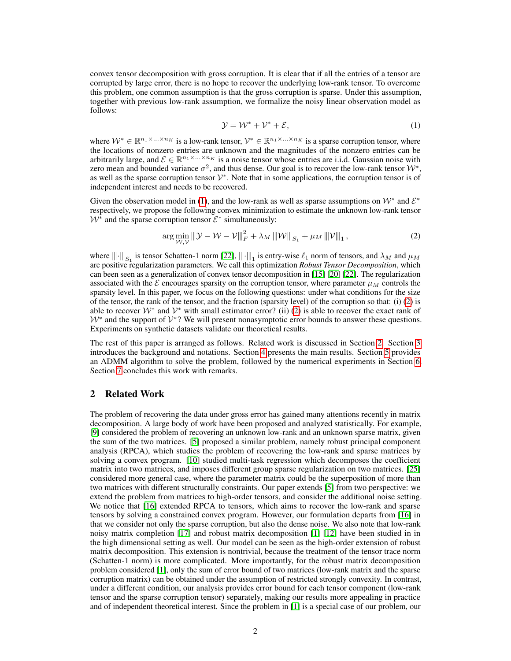convex tensor decomposition with gross corruption. It is clear that if all the entries of a tensor are corrupted by large error, there is no hope to recover the underlying low-rank tensor. To overcome this problem, one common assumption is that the gross corruption is sparse. Under this assumption, together with previous low-rank assumption, we formalize the noisy linear observation model as follows:

$$
\mathcal{Y} = \mathcal{W}^* + \mathcal{V}^* + \mathcal{E},\tag{1}
$$

where  $W^* \in \mathbb{R}^{n_1 \times \ldots \times n_K}$  is a low-rank tensor,  $V^* \in \mathbb{R}^{n_1 \times \ldots \times n_K}$  is a sparse corruption tensor, where the locations of nonzero entries are unknown and the magnitudes of the nonzero entries can be arbitrarily large, and  $\mathcal{E} \in \mathbb{R}^{n_1 \times ... \times n_K}$  is a noise tensor whose entries are i.i.d. Gaussian noise with zero mean and bounded variance  $\sigma^2$ , and thus dense. Our goal is to recover the low-rank tensor  $\mathcal{W}^*$ , as well as the sparse corruption tensor  $\mathcal{V}^*$ . Note that in some applications, the corruption tensor is of independent interest and needs to be recovered.

Given the observation model in (1), and the low-rank as well as sparse assumptions on  $W^*$  and  $\mathcal{E}^*$ respectively, we propose the following convex minimization to estimate the unknown low-rank tensor  $W^*$  and the sparse corruption tensor  $\mathcal{E}^*$  simultaneously:

$$
\arg\min_{\mathcal{W}, \mathcal{V}} \left\| \mathcal{Y} - \mathcal{W} - \mathcal{V} \right\|_{F}^{2} + \lambda_{M} \left\| \mathcal{W} \right\|_{S_{1}} + \mu_{M} \left\| \mathcal{V} \right\|_{1},\tag{2}
$$

where  $\|\|\cdot\|_{S_1}$  is tensor Schatten-1 norm [22],  $\|\|\cdot\|_1$  is entry-wise  $\ell_1$  norm of tensors, and  $\lambda_M$  and  $\mu_M$ are positive regularization parameters. We call this optimization *Robust Tensor Decomposition*, which can been seen as a generalization of convex tensor decomposition in [15] [20] [22]. The regularization associated with the  $\mathcal E$  encourages sparsity on the corruption tensor, where parameter  $\mu_M$  controls the sparsity level. In this paper, we focus on the following questions: under what conditions for the size of the tensor, the rank of the tensor, and the fraction (sparsity level) of the corruption so that: (i)  $(2)$  is able to recover  $W^*$  and  $V^*$  with small estimator error? (ii) (2) is able to recover the exact rank of  $W^*$  and the support of  $V^*$ ? We will present nonasymptotic error bounds to answer these questions. Experiments on synthetic datasets validate our theoretical results.

The rest of this paper is arranged as follows. Related work is discussed in Section 2. Section 3 introduces the background and notations. Section 4 presents the main results. Section 5 provides an ADMM algorithm to solve the problem, followed by the numerical experiments in Section 6. Section 7 concludes this work with remarks.

# 2 Related Work

The problem of recovering the data under gross error has gained many attentions recently in matrix decomposition. A large body of work have been proposed and analyzed statistically. For example, [9] considered the problem of recovering an unknown low-rank and an unknown sparse matrix, given the sum of the two matrices. [5] proposed a similar problem, namely robust principal component analysis (RPCA), which studies the problem of recovering the low-rank and sparse matrices by solving a convex program. [10] studied multi-task regression which decomposes the coefficient matrix into two matrices, and imposes different group sparse regularization on two matrices. [25] considered more general case, where the parameter matrix could be the superposition of more than two matrices with different structurally constraints. Our paper extends [5] from two perspective: we extend the problem from matrices to high-order tensors, and consider the additional noise setting. We notice that [16] extended RPCA to tensors, which aims to recover the low-rank and sparse tensors by solving a constrained convex program. However, our formulation departs from [16] in that we consider not only the sparse corruption, but also the dense noise. We also note that low-rank noisy matrix completion [17] and robust matrix decomposition [1] [12] have been studied in in the high dimensional setting as well. Our model can be seen as the high-order extension of robust matrix decomposition. This extension is nontrivial, because the treatment of the tensor trace norm (Schatten-1 norm) is more complicated. More importantly, for the robust matrix decomposition problem considered [1], only the sum of error bound of two matrices (low-rank matrix and the sparse corruption matrix) can be obtained under the assumption of restricted strongly convexity. In contrast, under a different condition, our analysis provides error bound for each tensor component (low-rank tensor and the sparse corruption tensor) separately, making our results more appealing in practice and of independent theoretical interest. Since the problem in [1] is a special case of our problem, our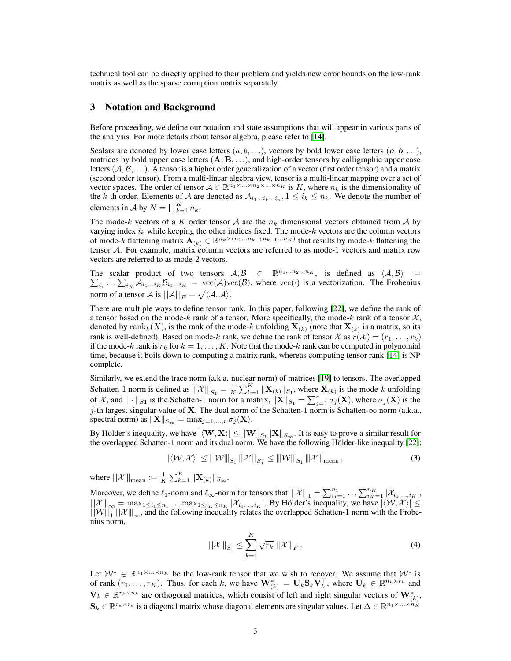technical tool can be directly applied to their problem and yields new error bounds on the low-rank matrix as well as the sparse corruption matrix separately.

## 3 Notation and Background

Before proceeding, we define our notation and state assumptions that will appear in various parts of the analysis. For more details about tensor algebra, please refer to [14].

Scalars are denoted by lower case letters  $(a, b, \ldots)$ , vectors by bold lower case letters  $(a, b, \ldots)$ , matrices by bold upper case letters  $(A, B, \ldots)$ , and high-order tensors by calligraphic upper case letters  $(A, \mathcal{B}, \dots)$ . A tensor is a higher order generalization of a vector (first order tensor) and a matrix (second order tensor). From a multi-linear algebra view, tensor is a multi-linear mapping over a set of vector spaces. The order of tensor  $A \in \mathbb{R}^{n_1 \times \ldots \times n_2 \times \ldots \times n_K}$  is K, where  $n_k$  is the dimensionality of the k-th order. Elements of A are denoted as  $A_{i_1...i_k...i_n}$ ,  $1 \le i_k \le n_k$ . We denote the number of elements in A by  $N = \prod_{k=1}^{K} n_k$ .

The mode-k vectors of a K order tensor A are the  $n_k$  dimensional vectors obtained from A by varying index  $i_k$  while keeping the other indices fixed. The mode-k vectors are the column vectors of mode-k flattening matrix  $\mathbf{A}_{(k)} \in \mathbb{R}^{n_k \times (n_1...n_{k-1}n_{k+1}...n_K)}$  that results by mode-k flattening the tensor A. For example, matrix column vectors are referred to as mode-1 vectors and matrix row vectors are referred to as mode-2 vectors.

The scalar product of two tensors  $A, B \in \mathbb{R}^{n_1...n_2...n_K}$ , is defined as  $\langle A, B \rangle$  =  $\sum_{i_1} \ldots \sum_{i_K} A_{i_1...i_K} B_{i_1...i_K} = \text{vec}(\mathcal{A}) \text{vec}(\mathcal{B})$ , where  $\text{vec}(\cdot)$  is a vectorization. The Frobenius norm of a tensor A is  $\|\|\mathcal{A}\|_F = \sqrt{\langle \mathcal{A}, \mathcal{A} \rangle}.$ 

There are multiple ways to define tensor rank. In this paper, following [22], we define the rank of a tensor based on the mode-k rank of a tensor. More specifically, the mode-k rank of a tensor  $\mathcal{X}$ , denoted by  $\text{rank}_k(X)$ , is the rank of the mode-k unfolding  $\mathbf{X}_{(k)}$  (note that  $\mathbf{X}_{(k)}$  is a matrix, so its rank is well-defined). Based on mode-k rank, we define the rank of tensor X as  $r(\mathcal{X}) = (r_1, \ldots, r_k)$ if the mode-k rank is  $r_k$  for  $k = 1, ..., K$ . Note that the mode-k rank can be computed in polynomial time, because it boils down to computing a matrix rank, whereas computing tensor rank [14] is NP complete.

Similarly, we extend the trace norm (a.k.a. nuclear norm) of matrices [19] to tensors. The overlapped Schatten-1 norm is defined as  $\|\mathcal{X}\|_{S_1} = \frac{1}{K} \sum_{k=1}^K \|\mathbf{X}_{(k)}\|_{S_1}$ , where  $\mathbf{X}_{(k)}$  is the mode-k unfolding of X, and  $\|\cdot\|_{S_1}$  is the Schatten-1 norm for a matrix,  $\|\mathbf{X}\|_{S_1} = \sum_{j=1}^r \sigma_j(\mathbf{X})$ , where  $\sigma_j(\mathbf{X})$  is the j-th largest singular value of **X**. The dual norm of the Schatten-1 norm is Schatten- $\infty$  norm (a.k.a., spectral norm) as  $\|\mathbf{X}\|_{S_{\infty}} = \max_{i=1,\dots,r} \sigma_i(\mathbf{X}).$ 

By Hölder's inequality, we have  $|\langle W, X\rangle|\leq \|W\|_{S_1}\|X\|_{S_\infty}.$  It is easy to prove a similar result for the overlapped Schatten-1 norm and its dual norm. We have the following Hölder-like inequality [22]:

$$
|\langle W, X \rangle| \le ||W||_{S_1} ||X||_{S_1^*} \le ||W||_{S_1} ||X||_{\text{mean}},
$$
\n(3)

where  $\left\Vert \mathcal{X}\right\Vert _{\text{mean}}:=\frac{1}{K}\sum_{k=1}^{K}\|\mathbf{X}_{(k)}\|_{S_{\infty}}.$ 

Moreover, we define  $\ell_1$ -norm and  $\ell_{\infty}$ -norm for tensors that  $|||\mathcal{X}||_1 = \sum_{i_1=1}^{n_1} \dots \sum_{i_K=1}^{n_K} |\mathcal{X}_{i_1,\dots,i_K}|$ ,  $||x|||_{\infty} = \max_{1 \leq i_1 \leq n_1} \dots \max_{1 \leq i_K \leq n_K} |x_{i_1,\dots,i_K}|$ . By Hölder's inequality, we have  $|\langle W, X \rangle| \leq$  $\|\|\mathcal{W}\|_1 \|\|\mathcal{X}\|_{\infty}$ , and the following inequality relates the overlapped Schatten-1 norm with the Frobenius norm,

$$
\|\mathcal{X}\|_{S_1} \le \sum_{k=1}^K \sqrt{r_k} \|\mathcal{X}\|_F. \tag{4}
$$

Let  $W^* \in \mathbb{R}^{n_1 \times \ldots \times n_K}$  be the low-rank tensor that we wish to recover. We assume that  $W^*$  is of rank  $(r_1, \ldots, r_K)$ . Thus, for each k, we have  $\mathbf{W}_{(k)}^* = \mathbf{U}_k \mathbf{S}_k \mathbf{V}_k^{\top}$ , where  $\mathbf{U}_k \in \mathbb{R}^{n_k \times r_k}$  and  $\mathbf{V}_k \in \mathbb{R}^{r_k \times n_k}$  are orthogonal matrices, which consist of left and right singular vectors of  $\mathbf{W}_{(k)}^*$ ,  $\mathbf{S}_k \in \mathbb{R}^{r_k \times r_k}$  is a diagonal matrix whose diagonal elements are singular values. Let  $\Delta \in \mathbb{R}^{n_1 \times \ldots \times n_K}$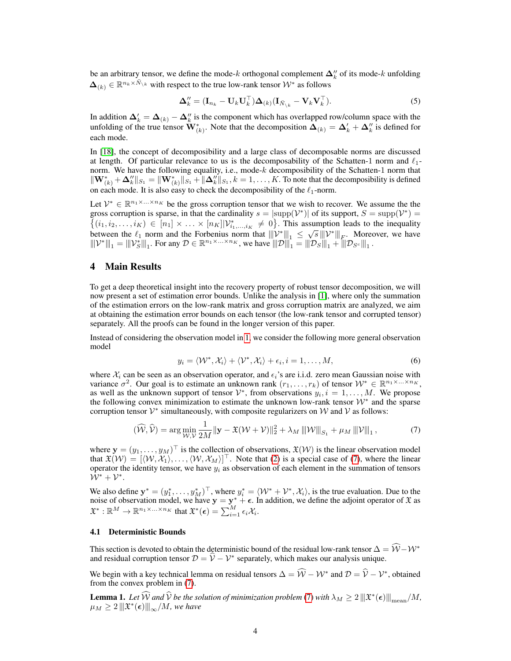be an arbitrary tensor, we define the mode-k orthogonal complement  $\Delta_k''$  of its mode-k unfolding  $\Delta_{(k)} \in \mathbb{R}^{n_k \times \bar{N}_{\setminus k}}$  with respect to the true low-rank tensor  $\mathcal{W}^*$  as follows

$$
\Delta_k'' = (\mathbf{I}_{n_k} - \mathbf{U}_k \mathbf{U}_k^\top) \Delta_{(k)} (\mathbf{I}_{\bar{N}_{\setminus k}} - \mathbf{V}_k \mathbf{V}_k^\top). \tag{5}
$$

In addition  $\Delta'_k = \Delta_{(k)} - \Delta''_k$  is the component which has overlapped row/column space with the unfolding of the true tensor  $\mathbf{W}_{(k)}^*$ . Note that the decomposition  $\mathbf{\Delta}_{(k)} = \mathbf{\Delta}'_k + \mathbf{\Delta}''_k$  is defined for each mode.

In [18], the concept of decomposibility and a large class of decomposable norms are discussed at length. Of particular relevance to us is the decomposability of the Schatten-1 norm and  $\ell_1$ norm. We have the following equality, i.e., mode-k decomposibility of the Schatten-1 norm that  $\|\mathbf{W}_{(k)}^* + \Delta_k''\|_{S_1} = \|\mathbf{W}_{(k)}^*\|_{S_1} + \|\Delta_k''\|_{S_1}, k = 1, \ldots, K$ . To note that the decomposibility is defined on each mode. It is also easy to check the decomposibility of the  $\ell_1$ -norm.

Let  $\mathcal{V}^* \in \mathbb{R}^{n_1 \times \ldots \times n_K}$  be the gross corruption tensor that we wish to recover. We assume the the gross corruption is sparse, in that the cardinality  $s = |\text{supp}(\mathcal{V}^*)|$  of its support,  $S = \text{supp}(\mathcal{V}^*)$  $\{(i_1, i_2,..., i_K) \in [n_1] \times ... \times [n_K] | \mathcal{V}_{i_1,...,i_K}^* \neq 0\}$ . This assumption leads to the inequality between the  $\ell_1$  norm and the Forbenius norm that  $|||v^*|||_1 \le \sqrt{s} |||v^*||_E$ . Moreover, we have  $||\mathcal{V}^*||_1 = ||\mathcal{V}_S^*||_1$ . For any  $\mathcal{D} \in \mathbb{R}^{n_1 \times ... \times n_K}$ , we have  $|||\mathcal{D}||_1 = ||\mathcal{D}_S||_1 + ||\mathcal{D}_{S^c}||_1$ .

# 4 Main Results

To get a deep theoretical insight into the recovery property of robust tensor decomposition, we will now present a set of estimation error bounds. Unlike the analysis in [1], where only the summation of the estimation errors on the low-rank matrix and gross corruption matrix are analyzed, we aim at obtaining the estimation error bounds on each tensor (the low-rank tensor and corrupted tensor) separately. All the proofs can be found in the longer version of this paper.

Instead of considering the observation model in 1, we consider the following more general observation model

$$
y_i = \langle \mathcal{W}^*, \mathcal{X}_i \rangle + \langle \mathcal{V}^*, \mathcal{X}_i \rangle + \epsilon_i, i = 1, \dots, M,
$$
\n
$$
(6)
$$

where  $X_i$  can be seen as an observation operator, and  $\epsilon_i$ 's are i.i.d. zero mean Gaussian noise with variance  $\sigma^2$ . Our goal is to estimate an unknown rank  $(r_1,\ldots,r_k)$  of tensor  $W^* \in \mathbb{R}^{n_1 \times \ldots \times n_K}$ , as well as the unknown support of tensor  $\mathcal{V}^*$ , from observations  $y_i, i = 1, \ldots, M$ . We propose the following convex minimization to estimate the unknown low-rank tensor  $W^*$  and the sparse corruption tensor  $\mathcal{V}^*$  simultaneously, with composite regularizers on  $\mathcal W$  and  $\mathcal V$  as follows:

$$
(\widehat{\mathcal{W}}, \widehat{\mathcal{V}}) = \arg\min_{\mathcal{W}, \mathcal{V}} \frac{1}{2M} \|\mathbf{y} - \mathfrak{X}(\mathcal{W} + \mathcal{V})\|_2^2 + \lambda_M \left\| \mathcal{W} \right\|_{S_1} + \mu_M \left\| \mathcal{V} \right\|_1, \tag{7}
$$

where  $\mathbf{y} = (y_1, \dots, y_M)^\top$  is the collection of observations,  $\mathfrak{X}(W)$  is the linear observation model that  $\mathfrak{X}(W) = [\langle W, X_1 \rangle, \dots, \langle W, X_M \rangle]^\top$ . Note that (2) is a special case of (7), where the linear operator the identity tensor, we have  $y_i$  as observation of each element in the summation of tensors  $\bar{\mathcal{W}}^*+\mathcal{V}^*.$ 

We also define  $\mathbf{y}^* = (y_1^*, \dots, y_M^*)^\top$ , where  $y_i^* = \langle \mathcal{W}^* + \mathcal{V}^*, \mathcal{X}_i \rangle$ , is the true evaluation. Due to the noise of observation model, we have  $y = y^* + \epsilon$ . In addition, we define the adjoint operator of  $\mathfrak X$  as  $\mathfrak{X}^*:\mathbb{R}^M\to\mathbb{R}^{n_1\times\ldots\times n_K}$  that  $\mathfrak{X}^*(\epsilon)=\sum_{i=1}^M\epsilon_i\mathcal{X}_i$ .

#### 4.1 Deterministic Bounds

This section is devoted to obtain the deterministic bound of the residual low-rank tensor  $\Delta = \mathcal{W} - \mathcal{W}^*$ and residual corruption tensor  $\mathcal{D} = \hat{\mathcal{V}} - \mathcal{V}^*$  separately, which makes our analysis unique.

We begin with a key technical lemma on residual tensors  $\Delta = \widehat{W} - \mathcal{W}^*$  and  $\mathcal{D} = \widehat{V} - \mathcal{V}^*$ , obtained from the convex problem in (7).

**Lemma 1.** Let  $\widehat{W}$  and  $\widehat{V}$  be the solution of minimization problem (7) with  $\lambda_M \geq 2 \left\| \mathfrak{X}^*(\epsilon) \right\|_{\text{mean}}/M$ ,  $\mu_M \geq 2 \left\Vert \vert \mathfrak{X}^*(\boldsymbol{\epsilon}) \right\Vert_\infty/M$ , we have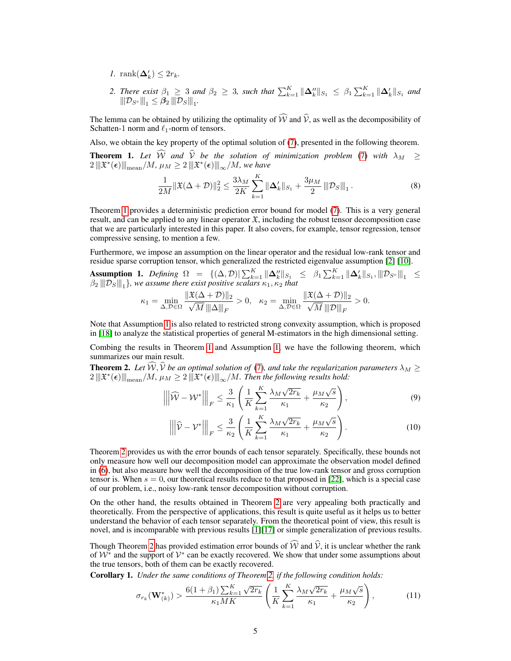- *1.* rank $(\Delta'_k) \leq 2r_k$ .
- 2. *There exist*  $\beta_1 \geq 3$  and  $\beta_2 \geq 3$ , such that  $\sum_{k=1}^K \|\Delta_k''\|_{S_1} \leq \beta_1 \sum_{k=1}^K \|\Delta_k'\|_{S_1}$  and  $|\|\mathcal{D}_{S^c}|\|_1 \leq \beta_2\,|\|\mathcal{D}_S|\|_1.$

The lemma can be obtained by utilizing the optimality of  $\widehat{W}$  and  $\widehat{V}$ , as well as the decomposibility of Schatten-1 norm and  $\ell_1$ -norm of tensors.

Also, we obtain the key property of the optimal solution of (7), presented in the following theorem. **Theorem 1.** Let  $\widehat{W}$  and  $\widehat{V}$  be the solution of minimization problem (7) with  $\lambda_M \geq$  $2\Vert \mathfrak{X}^*(\boldsymbol{\epsilon}) \Vert_{\text{mean}}/M$ ,  $\mu_M \geq 2\Vert \vert \mathfrak{X}^*(\boldsymbol{\epsilon}) \Vert_{\infty}/M$ , we have

$$
\frac{1}{2M} \|\mathfrak{X}(\Delta+\mathcal{D})\|_2^2 \le \frac{3\lambda_M}{2K} \sum_{k=1}^K \|\mathbf{\Delta}_k'\|_{S_1} + \frac{3\mu_M}{2} \|\mathcal{D}_S\|_1.
$$
 (8)

Theorem 1 provides a deterministic prediction error bound for model (7). This is a very general result, and can be applied to any linear operator  $\mathfrak{X}$ , including the robust tensor decomposition case that we are particularly interested in this paper. It also covers, for example, tensor regression, tensor compressive sensing, to mention a few.

Furthermore, we impose an assumption on the linear operator and the residual low-rank tensor and residue sparse corruption tensor, which generalized the restricted eigenvalue assumption [2] [10].

Assumption 1. *Defining*  $\Omega = \{(\Delta, \mathcal{D}) | \sum_{k=1}^K ||\Delta_k''||_{S_1} \leq \beta_1 \sum_{k=1}^K ||\Delta_k'||_{S_1}, ||\mathcal{D}_{S^c}||_1 \leq$  $\beta_2$   $\|D_S\|_1$ }, we assume there exist positive scalars  $\kappa_1, \kappa_2$  that

$$
\kappa_1 = \min_{\Delta, \mathcal{D} \in \Omega} \frac{\|\mathfrak{X}(\Delta + \mathcal{D})\|_2}{\sqrt{M}\|\Delta\|_F} > 0, \quad \kappa_2 = \min_{\Delta, \mathcal{D} \in \Omega} \frac{\|\mathfrak{X}(\Delta + \mathcal{D})\|_2}{\sqrt{M}\|\mathcal{D}\|_F} > 0.
$$

Note that Assumption 1 is also related to restricted strong convexity assumption, which is proposed in [18] to analyze the statistical properties of general M-estimators in the high dimensional setting.

Combing the results in Theorem 1 and Assumption 1, we have the following theorem, which summarizes our main result.

**Theorem 2.** Let  $\hat{W}$ ,  $\hat{V}$  be an optimal solution of (7), and take the regularization parameters  $\lambda_M \geq$  $2\left\|\mathfrak{X}^*(\bm{\epsilon})\right\|_{\mathrm{mean}}/M$ ,  $\mu_M\geq 2\left\|\mathfrak{X}^*(\bm{\epsilon})\right\|_{\infty}/M$ . Then the following results hold:

$$
\left\| \left\| \widehat{\mathcal{W}} - \mathcal{W}^* \right\| \right|_F \le \frac{3}{\kappa_1} \left( \frac{1}{K} \sum_{k=1}^K \frac{\lambda_M \sqrt{2r_k}}{\kappa_1} + \frac{\mu_M \sqrt{s}}{\kappa_2} \right),\tag{9}
$$

$$
\left\| \left\| \widehat{\mathcal{V}} - \mathcal{V}^* \right\| \right|_F \le \frac{3}{\kappa_2} \left( \frac{1}{K} \sum_{k=1}^K \frac{\lambda_M \sqrt{2r_k}}{\kappa_1} + \frac{\mu_M \sqrt{s}}{\kappa_2} \right). \tag{10}
$$

Theorem 2 provides us with the error bounds of each tensor separately. Specifically, these bounds not only measure how well our decomposition model can approximate the observation model defined in (6), but also measure how well the decomposition of the true low-rank tensor and gross corruption tensor is. When  $s = 0$ , our theoretical results reduce to that proposed in [22], which is a special case of our problem, i.e., noisy low-rank tensor decomposition without corruption.

On the other hand, the results obtained in Theorem 2 are very appealing both practically and theoretically. From the perspective of applications, this result is quite useful as it helps us to better understand the behavior of each tensor separately. From the theoretical point of view, this result is novel, and is incomparable with previous results [1][17] or simple generalization of previous results.

Though Theorem 2 has provided estimation error bounds of  $\hat{W}$  and  $\hat{V}$ , it is unclear whether the rank of  $W^*$  and the support of  $V^*$  can be exactly recovered. We show that under some assumptions about the true tensors, both of them can be exactly recovered.

Corollary 1. *Under the same conditions of Theorem 2, if the following condition holds:*

$$
\sigma_{r_k}(\mathbf{W}_{(k)}^*) > \frac{6(1+\beta_1)\sum_{k=1}^K \sqrt{2r_k}}{\kappa_1 MK} \left( \frac{1}{K} \sum_{k=1}^K \frac{\lambda_M \sqrt{2r_k}}{\kappa_1} + \frac{\mu_M \sqrt{s}}{\kappa_2} \right),\tag{11}
$$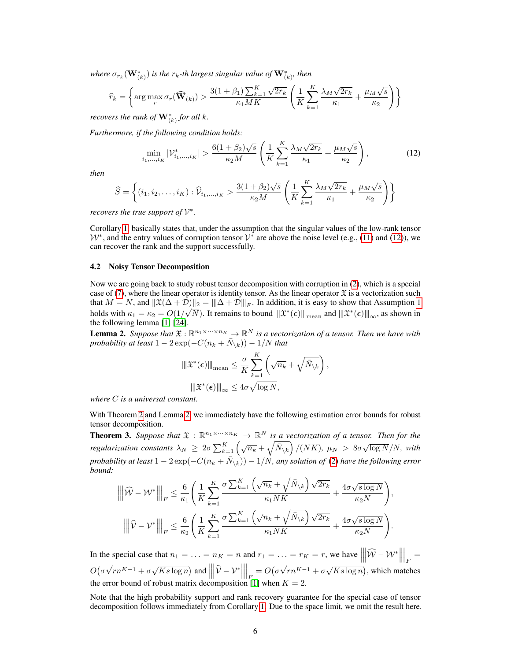where  $\sigma_{r_k}(\mathbf{W}_{(k)}^*)$  is the  $r_k$ -th largest singular value of  $\mathbf{W}_{(k)}^*$ , then

$$
\widehat{r}_k = \left\{ \arg \max_r \sigma_r(\widehat{\mathbf{W}}_{(k)}) > \frac{3(1+\beta_1) \sum_{k=1}^K \sqrt{2r_k}}{\kappa_1 MK} \left( \frac{1}{K} \sum_{k=1}^K \frac{\lambda_M \sqrt{2r_k}}{\kappa_1} + \frac{\mu_M \sqrt{s}}{\kappa_2} \right) \right\}
$$

*recovers the rank of*  $\mathbf{W}_{(k)}^{*}$  *for all k.* 

*Furthermore, if the following condition holds:*

$$
\min_{i_1, ..., i_K} |\mathcal{V}^*_{i_1, ..., i_K}| > \frac{6(1+\beta_2)\sqrt{s}}{\kappa_2 M} \left( \frac{1}{K} \sum_{k=1}^K \frac{\lambda_M \sqrt{2r_k}}{\kappa_1} + \frac{\mu_M \sqrt{s}}{\kappa_2} \right),\tag{12}
$$

*then*

$$
\widehat{S} = \left\{ (i_1, i_2, \dots, i_K) : \widehat{\mathcal{V}}_{i_1, \dots, i_K} > \frac{3(1+\beta_2)\sqrt{s}}{\kappa_2 M} \left( \frac{1}{K} \sum_{k=1}^K \frac{\lambda_M \sqrt{2r_k}}{\kappa_1} + \frac{\mu_M \sqrt{s}}{\kappa_2} \right) \right\}
$$

*recovers the true support of*  $V^*$ .

Corollary 1, basically states that, under the assumption that the singular values of the low-rank tensor  $W^*$ , and the entry values of corruption tensor  $V^*$  are above the noise level (e.g., (11) and (12)), we can recover the rank and the support successfully.

#### 4.2 Noisy Tensor Decomposition

Now we are going back to study robust tensor decomposition with corruption in (2), which is a special case of (7), where the linear operator is identity tensor. As the linear operator  $\mathfrak X$  is a vectorization such that  $M = N$ , and  $\|\mathfrak{X}(\Delta + \mathcal{D})\|_2 = \|\Delta + \mathcal{D}\|_F$ . In addition, it is easy to show that Assumption 1 holds with  $\kappa_1=\kappa_2=O(1/\sqrt{N}).$  It remains to bound  $\left\|\mathfrak{X}^*(\boldsymbol{\epsilon})\right\|_{\text{mean}}$  and  $\left\|\mathfrak{X}^*(\boldsymbol{\epsilon})\right\|_{\infty}$ , as shown in the following lemma [1] [24].

**Lemma 2.** Suppose that  $\mathfrak{X}: \mathbb{R}^{n_1 \times \cdots \times n_K} \to \mathbb{R}^N$  is a vectorization of a tensor. Then we have with *probability at least*  $1 - 2 \exp(-C(n_k + \bar{N}_{\setminus k})) - 1/N$  *that* 

$$
\|\mathfrak{X}^*(\epsilon)\|_{\text{mean}} \leq \frac{\sigma}{K} \sum_{k=1}^K \left(\sqrt{n_k} + \sqrt{\bar{N}_{\setminus k}}\right),
$$

$$
\|\mathfrak{X}^*(\epsilon)\|_{\infty} \leq 4\sigma \sqrt{\log N},
$$

*where* C *is a universal constant.*

With Theorem 2 and Lemma 2, we immediately have the following estimation error bounds for robust tensor decomposition.

**Theorem 3.** Suppose that  $\mathfrak{X}: \mathbb{R}^{n_1 \times \cdots \times n_K} \to \mathbb{R}^N$  is a vectorization of a tensor. Then for the *regularization constants*  $\lambda_N \geq 2\sigma \sum_{k=1}^K \left(\sqrt{n_k} + \sqrt{\bar{N}_{\setminus k}}\right) / (NK)$ ,  $\mu_N > 8\sigma \sqrt{\log N}/N$ , with  $p$ robability at least  $1-2\exp(-C(n_k+\bar{N}_{\setminus k}))-1/N$ , any solution of (2) have the following error *bound:*

$$
\left\|\left\|\widehat{\mathcal{W}}-\mathcal{W}^*\right\|\right|_F \leq \frac{6}{\kappa_1} \left(\frac{1}{K} \sum_{k=1}^K \frac{\sigma \sum_{k=1}^K \left(\sqrt{n_k} + \sqrt{\bar{N}_{\backslash k}}\right) \sqrt{2r_k}}{\kappa_1 N K} + \frac{4\sigma \sqrt{s \log N}}{\kappa_2 N}\right),
$$

$$
\left\|\left\|\widehat{\mathcal{V}}-\mathcal{V}^*\right\|\right|_F \leq \frac{6}{\kappa_2} \left(\frac{1}{K} \sum_{k=1}^K \frac{\sigma \sum_{k=1}^K \left(\sqrt{n_k} + \sqrt{\bar{N}_{\backslash k}}\right) \sqrt{2r_k}}{\kappa_1 N K} + \frac{4\sigma \sqrt{s \log N}}{\kappa_2 N}\right).
$$

In the special case that  $n_1 = \ldots = n_K = n$  and  $r_1 = \ldots = r_K = r$ , we have  $\left| \widehat{W} - \mathcal{W}^* \right|$  $\begin{array}{c} \begin{array}{c} \begin{array}{c} \end{array} \\ \begin{array}{c} \end{array} \end{array} \end{array}$  $\Big|_F =$  $O(\sigma$ √  $\sqrt{Ks \log n}$  and  $\left| \frac{1}{Ks \log n} \right|$   $\left|\widehat{\mathcal{V}}-\mathcal{V}^*\right|$  $\begin{array}{c} \begin{array}{c} \begin{array}{c} \end{array} \\ \begin{array}{c} \end{array} \end{array} \end{array}$  $\Big|_F = O\big(\sigma$ √  $\sqrt{r}n^{K-1} + \sigma \sqrt{Ks \log n}$ , which matches the error bound of robust matrix decomposition [1] when  $K = 2$ .

Note that the high probability support and rank recovery guarantee for the special case of tensor decomposition follows immediately from Corollary 1. Due to the space limit, we omit the result here.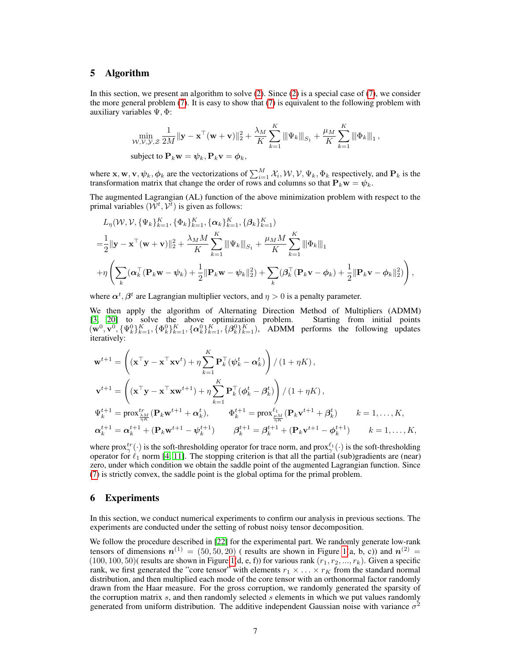# 5 Algorithm

In this section, we present an algorithm to solve (2). Since (2) is a special case of (7), we consider the more general problem  $(7)$ . It is easy to show that  $(7)$  is equivalent to the following problem with auxiliary variables  $\Psi$ ,  $\Phi$ :

$$
\min_{\mathcal{W}, \mathcal{V}, \mathcal{Y}, \mathcal{Z}} \frac{1}{2M} \|\mathbf{y} - \mathbf{x}^{\top}(\mathbf{w} + \mathbf{v})\|_{2}^{2} + \frac{\lambda_{M}}{K} \sum_{k=1}^{K} \|\Psi_{k}\|_{S_{1}} + \frac{\mu_{M}}{K} \sum_{k=1}^{K} \|\Phi_{k}\|_{1},
$$
\nsubject to  $\mathbf{P}_{k} \mathbf{w} = \psi_{k}, \mathbf{P}_{k} \mathbf{v} = \phi_{k},$ 

where **x**, **w**, **v**,  $\psi_k$ ,  $\phi_k$  are the vectorizations of  $\sum_{i=1}^M \mathcal{X}_i$ ,  $\mathcal{W}, \mathcal{V}, \Psi_k$ ,  $\Phi_k$  respectively, and  $\mathbf{P}_k$  is the transformation matrix that change the order of rows and columns so that  $P_kw = \psi_k$ .

The augmented Lagrangian (AL) function of the above minimization problem with respect to the primal variables  $(\tilde{W}^t, \tilde{V}^t)$  is given as follows:

$$
L_{\eta}(\mathcal{W}, \mathcal{V}, \{\Psi_k\}_{k=1}^K, \{\Phi_k\}_{k=1}^K, \{\alpha_k\}_{k=1}^K, \{\beta_k\}_{k=1}^K)
$$
  
= $\frac{1}{2} ||\mathbf{y} - \mathbf{x}^\top (\mathbf{w} + \mathbf{v})||_2^2 + \frac{\lambda_M M}{K} \sum_{k=1}^K ||\Psi_k||_{S_1} + \frac{\mu_M M}{K} \sum_{k=1}^K ||\Phi_k||_1$   
+ $\eta \left( \sum_k (\alpha_k^\top (\mathbf{P}_k \mathbf{w} - \psi_k) + \frac{1}{2} ||\mathbf{P}_k \mathbf{w} - \psi_k||_2^2) + \sum_k (\beta_k^\top (\mathbf{P}_k \mathbf{v} - \phi_k) + \frac{1}{2} ||\mathbf{P}_k \mathbf{v} - \phi_k||_2^2) \right),$ 

where  $\alpha^t, \beta^t$  are Lagrangian multiplier vectors, and  $\eta > 0$  is a penalty parameter.

We then apply the algorithm of Alternating Direction Method of Multipliers (ADMM) [3, 20] to solve the above optimization problem. Starting from initial points  $(\mathbf{w}^0, \mathbf{v}^0, {\{\Psi_k^0\}}_{k=1}^K, {\{\Phi_k^0\}}_{k=1}^K, {\{\alpha_k^0\}}_{k=1}^K, {\{\beta_k^0\}}_{k=1}^K)$ , ADMM performs the following updates iteratively:

$$
\mathbf{w}^{t+1} = \left( (\mathbf{x}^{\top}\mathbf{y} - \mathbf{x}^{\top}\mathbf{x}\mathbf{v}^{t}) + \eta \sum_{k=1}^{K} \mathbf{P}_{k}^{\top} (\psi_{k}^{t} - \alpha_{k}^{t}) \right) / (1 + \eta K),
$$
\n
$$
\mathbf{v}^{t+1} = \left( (\mathbf{x}^{\top}\mathbf{y} - \mathbf{x}^{\top}\mathbf{x}\mathbf{w}^{t+1}) + \eta \sum_{k=1}^{K} \mathbf{P}_{k}^{\top} (\phi_{k}^{t} - \beta_{k}^{t}) \right) / (1 + \eta K),
$$
\n
$$
\Psi_{k}^{t+1} = \text{prox}_{\frac{\gamma}{\eta K}}^{tr} (\mathbf{P}_{k}\mathbf{w}^{t+1} + \alpha_{k}^{t}), \qquad \Phi_{k}^{t+1} = \text{prox}_{\frac{\mu M}{\eta K}}^{l} (\mathbf{P}_{k}\mathbf{v}^{t+1} + \beta_{k}^{t}) \qquad k = 1, ..., K,
$$
\n
$$
\alpha_{k}^{t+1} = \alpha_{k}^{t+1} + (\mathbf{P}_{k}\mathbf{w}^{t+1} - \psi_{k}^{t+1}) \qquad \beta_{k}^{t+1} = \beta_{k}^{t+1} + (\mathbf{P}_{k}\mathbf{v}^{t+1} - \phi_{k}^{t+1}) \qquad k = 1, ..., K,
$$

where  $prox_{\gamma}^{tr}(\cdot)$  is the soft-thresholding operator for trace norm, and  $prox_{\gamma}^{\ell_1}(\cdot)$  is the soft-thresholding operator for  $\ell_1$  norm [4, 11]. The stopping criterion is that all the partial (sub)gradients are (near) zero, under which condition we obtain the saddle point of the augmented Lagrangian function. Since (7) is strictly convex, the saddle point is the global optima for the primal problem.

## 6 Experiments

In this section, we conduct numerical experiments to confirm our analysis in previous sections. The experiments are conducted under the setting of robust noisy tensor decomposition.

We follow the procedure described in [22] for the experimental part. We randomly generate low-rank tensors of dimensions  $n^{(1)} = (50, 50, 20)$  (results are shown in Figure 1(a, b, c)) and  $n^{(2)} =$  $(100, 100, 50)$  (results are shown in Figure 1(d, e, f)) for various rank  $(r_1, r_2, ..., r_k)$ . Given a specific rank, we first generated the "core tensor" with elements  $r_1 \times \ldots \times r_K$  from the standard normal distribution, and then multiplied each mode of the core tensor with an orthonormal factor randomly drawn from the Haar measure. For the gross corruption, we randomly generated the sparsity of the corruption matrix  $s$ , and then randomly selected  $s$  elements in which we put values randomly generated from uniform distribution. The additive independent Gaussian noise with variance  $\sigma^2$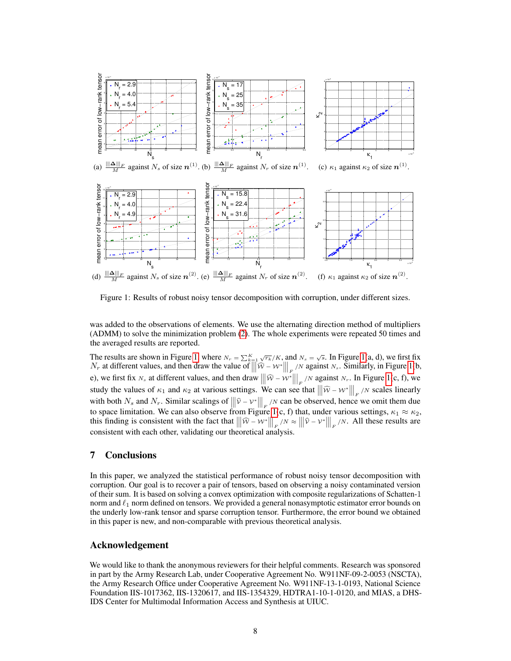

Figure 1: Results of robust noisy tensor decomposition with corruption, under different sizes.

was added to the observations of elements. We use the alternating direction method of multipliers (ADMM) to solve the minimization problem (2). The whole experiments were repeated 50 times and the averaged results are reported.

The results are shown in Figure 1, where  $N_r = \sum_{k=1}^{K} \sqrt{r_k}/K$ , and  $N_s = \sqrt{s}$ . In Figure 1(a, d), we first fix  $N_r$  at different values, and then draw the value of  $\vert$  $\overline{\phantom{a}}$  $\left|\widehat{\mathcal{W}}-\mathcal{W}^*\right|$   $\Big|_{F_{\text{min}}}$ /N against N<sub>s</sub>. Similarly, in Figure 1(b, e), we first fix  $N_s$  at different values, and then draw  $\Big|$  $\begin{array}{c} \hline \end{array}$  $|\widehat{\mathcal{W}} - \mathcal{W}^*|$  $\begin{array}{c} \begin{array}{c} \begin{array}{c} \end{array} \end{array} \end{array}$  $\Big|_F$  /N against N<sub>r</sub>. In Figure 1(c, f), we study the values of  $\kappa_1$  and  $\kappa_2$  at various settings. We can see that  $\vert$   $\left| \widehat{\mathcal{W}}-\mathcal{W}^{\ast}\right|$  $\overline{\phantom{a}}$  $\Big|_F$  /N scales linearly with both  $N_s$  and  $N_r$ . Similar scalings of  $\vert$  $\begin{array}{c} \end{array}$  $\left|\widehat{\mathcal{V}}-\mathcal{V}^*\right|$  $\begin{array}{c} \n\end{array}$  $\left| \int_{F}$  /N can be observed, hence we omit them due to space limitation. We can also observe from Figure 1(c, f) that, under various settings,  $\kappa_1 \approx \kappa_2$ , this finding is consistent with the fact that  $\vert$  $\begin{array}{c} \n\end{array}$  $|\widehat{w} - w^*|$   $\left| \frac{F}{F} \right| \leq \infty$  $\begin{array}{c} \n\end{array}$  $\left| \widehat{\mathcal{V}}-\mathcal{V}^{\ast}\right|$  $\begin{array}{c} \n\end{array}$  $\Big|_F$  /N. All these results are consistent with each other, validating our theoretical analysis.

# 7 Conclusions

In this paper, we analyzed the statistical performance of robust noisy tensor decomposition with corruption. Our goal is to recover a pair of tensors, based on observing a noisy contaminated version of their sum. It is based on solving a convex optimization with composite regularizations of Schatten-1 norm and  $\ell_1$  norm defined on tensors. We provided a general nonasymptotic estimator error bounds on the underly low-rank tensor and sparse corruption tensor. Furthermore, the error bound we obtained in this paper is new, and non-comparable with previous theoretical analysis.

## Acknowledgement

We would like to thank the anonymous reviewers for their helpful comments. Research was sponsored in part by the Army Research Lab, under Cooperative Agreement No. W911NF-09-2-0053 (NSCTA), the Army Research Office under Cooperative Agreement No. W911NF-13-1-0193, National Science Foundation IIS-1017362, IIS-1320617, and IIS-1354329, HDTRA1-10-1-0120, and MIAS, a DHS-IDS Center for Multimodal Information Access and Synthesis at UIUC.